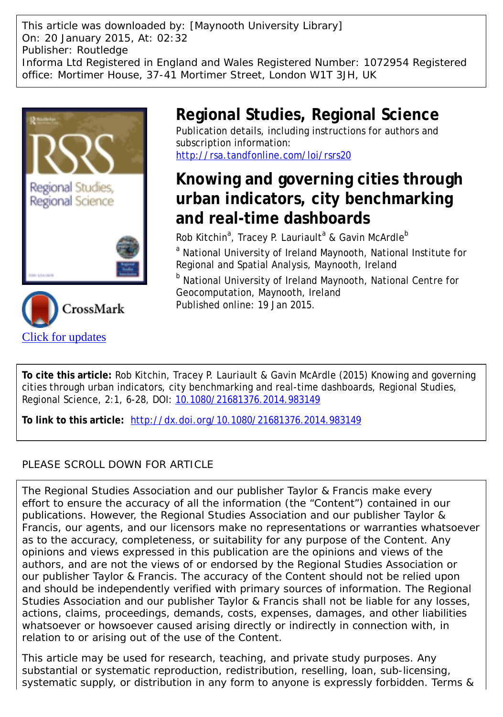This article was downloaded by: [Maynooth University Library] On: 20 January 2015, At: 02:32 Publisher: Routledge Informa Ltd Registered in England and Wales Registered Number: 1072954 Registered office: Mortimer House, 37-41 Mortimer Street, London W1T 3JH, UK



# **Regional Studies, Regional Science**

Publication details, including instructions for authors and subscription information: <http://rsa.tandfonline.com/loi/rsrs20>

# **Knowing and governing cities through urban indicators, city benchmarking and real-time dashboards**

Rob Kitchin<sup>a</sup>, Tracey P. Lauriault<sup>a</sup> & Gavin McArdle<sup>b</sup>

<sup>a</sup> National University of Ireland Maynooth, National Institute for Regional and Spatial Analysis, Maynooth, Ireland

**b** National University of Ireland Maynooth, National Centre for Geocomputation, Maynooth, Ireland Published online: 19 Jan 2015.

**To cite this article:** Rob Kitchin, Tracey P. Lauriault & Gavin McArdle (2015) Knowing and governing cities through urban indicators, city benchmarking and real-time dashboards, Regional Studies, Regional Science, 2:1, 6-28, DOI: [10.1080/21681376.2014.983149](http://rsa.tandfonline.com/action/showCitFormats?doi=10.1080/21681376.2014.983149)

**To link to this article:** <http://dx.doi.org/10.1080/21681376.2014.983149>

# PLEASE SCROLL DOWN FOR ARTICLE

The Regional Studies Association and our publisher Taylor & Francis make every effort to ensure the accuracy of all the information (the "Content") contained in our publications. However, the Regional Studies Association and our publisher Taylor & Francis, our agents, and our licensors make no representations or warranties whatsoever as to the accuracy, completeness, or suitability for any purpose of the Content. Any opinions and views expressed in this publication are the opinions and views of the authors, and are not the views of or endorsed by the Regional Studies Association or our publisher Taylor & Francis. The accuracy of the Content should not be relied upon and should be independently verified with primary sources of information. The Regional Studies Association and our publisher Taylor & Francis shall not be liable for any losses, actions, claims, proceedings, demands, costs, expenses, damages, and other liabilities whatsoever or howsoever caused arising directly or indirectly in connection with, in relation to or arising out of the use of the Content.

This article may be used for research, teaching, and private study purposes. Any substantial or systematic reproduction, redistribution, reselling, loan, sub-licensing, systematic supply, or distribution in any form to anyone is expressly forbidden. Terms &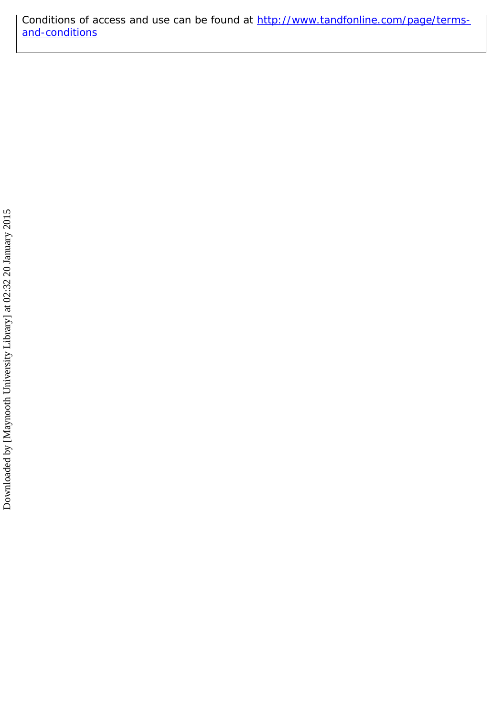Conditions of access and use can be found at [http://www.tandfonline.com/page/terms](http://www.tandfonline.com/page/terms-and-conditions)[and-conditions](http://www.tandfonline.com/page/terms-and-conditions)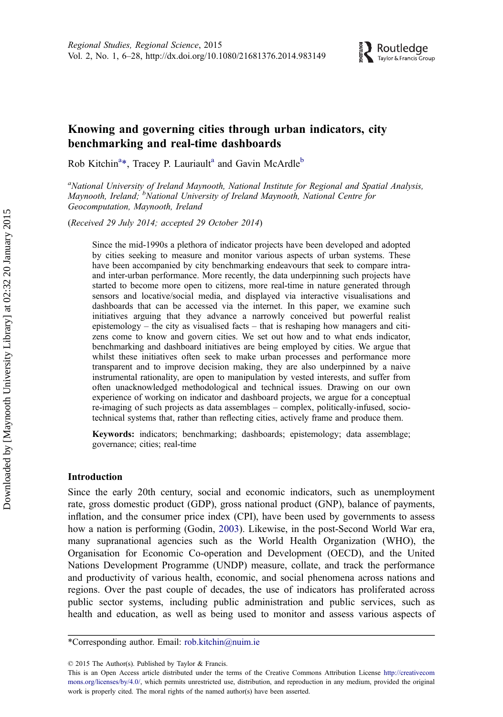

# Knowing and governing cities through urban indicators, city benchmarking and real-time dashboards

Rob Kitchin<sup>a\*</sup>, Tracey P. Lauriault<sup>a</sup> and Gavin McArdle<sup>b</sup>

<sup>a</sup>National University of Ireland Maynooth, National Institute for Regional and Spatial Analysis, Maynooth, Ireland; <sup>b</sup>National University of Ireland Maynooth, National Centre for Geocomputation, Maynooth, Ireland

(Received 29 July 2014; accepted 29 October 2014)

Since the mid-1990s a plethora of indicator projects have been developed and adopted by cities seeking to measure and monitor various aspects of urban systems. These have been accompanied by city benchmarking endeavours that seek to compare intraand inter-urban performance. More recently, the data underpinning such projects have started to become more open to citizens, more real-time in nature generated through sensors and locative/social media, and displayed via interactive visualisations and dashboards that can be accessed via the internet. In this paper, we examine such initiatives arguing that they advance a narrowly conceived but powerful realist epistemology – the city as visualised facts – that is reshaping how managers and citizens come to know and govern cities. We set out how and to what ends indicator, benchmarking and dashboard initiatives are being employed by cities. We argue that whilst these initiatives often seek to make urban processes and performance more transparent and to improve decision making, they are also underpinned by a naive instrumental rationality, are open to manipulation by vested interests, and suffer from often unacknowledged methodological and technical issues. Drawing on our own experience of working on indicator and dashboard projects, we argue for a conceptual re-imaging of such projects as data assemblages – complex, politically-infused, sociotechnical systems that, rather than reflecting cities, actively frame and produce them.

Keywords: indicators; benchmarking; dashboards; epistemology; data assemblage; governance; cities; real-time

## Introduction

Since the early 20th century, social and economic indicators, such as unemployment rate, gross domestic product (GDP), gross national product (GNP), balance of payments, inflation, and the consumer price index (CPI), have been used by governments to assess how a nation is performing (Godin, [2003\)](#page-22-0). Likewise, in the post-Second World War era, many supranational agencies such as the World Health Organization (WHO), the Organisation for Economic Co-operation and Development (OECD), and the United Nations Development Programme (UNDP) measure, collate, and track the performance and productivity of various health, economic, and social phenomena across nations and regions. Over the past couple of decades, the use of indicators has proliferated across public sector systems, including public administration and public services, such as health and education, as well as being used to monitor and assess various aspects of

<sup>\*</sup>Corresponding author. Email: [rob.kitchin@nuim.ie](mailto:rob.kitchin@nuim.ie)

<sup>© 2015</sup> The Author(s). Published by Taylor & Francis.

This is an Open Access article distributed under the terms of the Creative Commons Attribution License [http://creativecom](http://creativecommons.org/licenses/by/4.0/) [mons.org/licenses/by/4.0/,](http://creativecommons.org/licenses/by/4.0/) which permits unrestricted use, distribution, and reproduction in any medium, provided the original work is properly cited. The moral rights of the named author(s) have been asserted.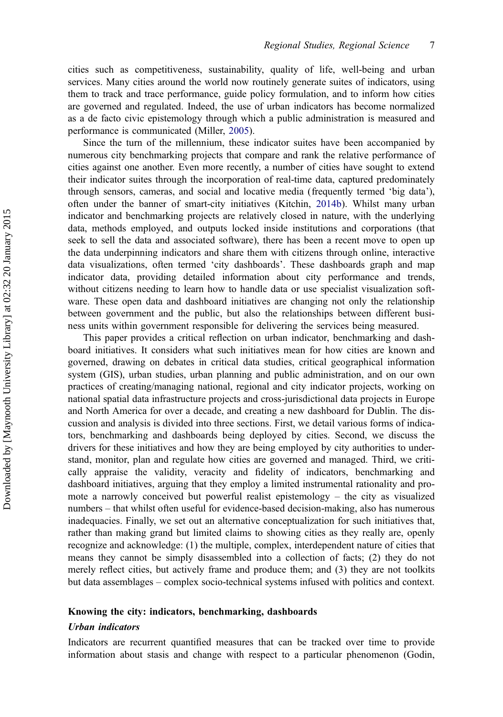cities such as competitiveness, sustainability, quality of life, well-being and urban services. Many cities around the world now routinely generate suites of indicators, using them to track and trace performance, guide policy formulation, and to inform how cities are governed and regulated. Indeed, the use of urban indicators has become normalized as a de facto civic epistemology through which a public administration is measured and performance is communicated (Miller, [2005](#page-23-0)).

Since the turn of the millennium, these indicator suites have been accompanied by numerous city benchmarking projects that compare and rank the relative performance of cities against one another. Even more recently, a number of cities have sought to extend their indicator suites through the incorporation of real-time data, captured predominately through sensors, cameras, and social and locative media (frequently termed 'big data'), often under the banner of smart-city initiatives (Kitchin, [2014b](#page-23-0)). Whilst many urban indicator and benchmarking projects are relatively closed in nature, with the underlying data, methods employed, and outputs locked inside institutions and corporations (that seek to sell the data and associated software), there has been a recent move to open up the data underpinning indicators and share them with citizens through online, interactive data visualizations, often termed 'city dashboards'. These dashboards graph and map indicator data, providing detailed information about city performance and trends, without citizens needing to learn how to handle data or use specialist visualization software. These open data and dashboard initiatives are changing not only the relationship between government and the public, but also the relationships between different business units within government responsible for delivering the services being measured.

This paper provides a critical reflection on urban indicator, benchmarking and dashboard initiatives. It considers what such initiatives mean for how cities are known and governed, drawing on debates in critical data studies, critical geographical information system (GIS), urban studies, urban planning and public administration, and on our own practices of creating/managing national, regional and city indicator projects, working on national spatial data infrastructure projects and cross-jurisdictional data projects in Europe and North America for over a decade, and creating a new dashboard for Dublin. The discussion and analysis is divided into three sections. First, we detail various forms of indicators, benchmarking and dashboards being deployed by cities. Second, we discuss the drivers for these initiatives and how they are being employed by city authorities to understand, monitor, plan and regulate how cities are governed and managed. Third, we critically appraise the validity, veracity and fidelity of indicators, benchmarking and dashboard initiatives, arguing that they employ a limited instrumental rationality and promote a narrowly conceived but powerful realist epistemology – the city as visualized numbers – that whilst often useful for evidence-based decision-making, also has numerous inadequacies. Finally, we set out an alternative conceptualization for such initiatives that, rather than making grand but limited claims to showing cities as they really are, openly recognize and acknowledge: (1) the multiple, complex, interdependent nature of cities that means they cannot be simply disassembled into a collection of facts; (2) they do not merely reflect cities, but actively frame and produce them; and (3) they are not toolkits but data assemblages – complex socio-technical systems infused with politics and context.

#### Knowing the city: indicators, benchmarking, dashboards

#### Urban indicators

Indicators are recurrent quantified measures that can be tracked over time to provide information about stasis and change with respect to a particular phenomenon (Godin,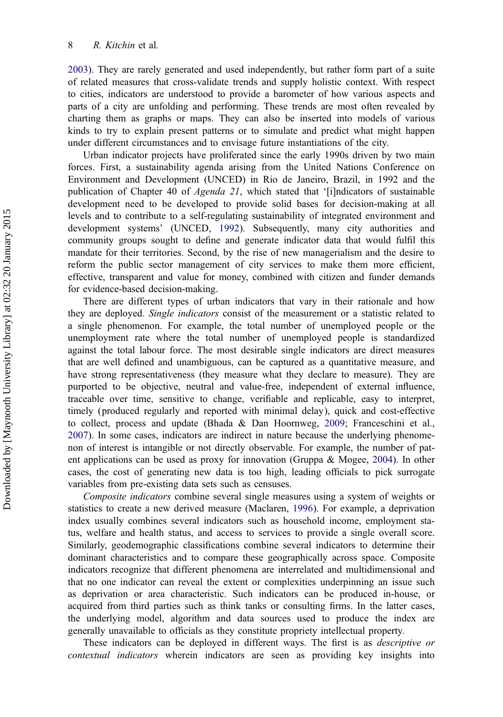[2003\)](#page-22-0). They are rarely generated and used independently, but rather form part of a suite of related measures that cross-validate trends and supply holistic context. With respect to cities, indicators are understood to provide a barometer of how various aspects and parts of a city are unfolding and performing. These trends are most often revealed by charting them as graphs or maps. They can also be inserted into models of various kinds to try to explain present patterns or to simulate and predict what might happen under different circumstances and to envisage future instantiations of the city.

Urban indicator projects have proliferated since the early 1990s driven by two main forces. First, a sustainability agenda arising from the United Nations Conference on Environment and Development (UNCED) in Rio de Janeiro, Brazil, in 1992 and the publication of Chapter 40 of *Agenda 21*, which stated that '[i]ndicators of sustainable development need to be developed to provide solid bases for decision-making at all levels and to contribute to a self-regulating sustainability of integrated environment and development systems' (UNCED, [1992\)](#page-24-0). Subsequently, many city authorities and community groups sought to define and generate indicator data that would fulfil this mandate for their territories. Second, by the rise of new managerialism and the desire to reform the public sector management of city services to make them more efficient, effective, transparent and value for money, combined with citizen and funder demands for evidence-based decision-making.

There are different types of urban indicators that vary in their rationale and how they are deployed. Single indicators consist of the measurement or a statistic related to a single phenomenon. For example, the total number of unemployed people or the unemployment rate where the total number of unemployed people is standardized against the total labour force. The most desirable single indicators are direct measures that are well defined and unambiguous, can be captured as a quantitative measure, and have strong representativeness (they measure what they declare to measure). They are purported to be objective, neutral and value-free, independent of external influence, traceable over time, sensitive to change, verifiable and replicable, easy to interpret, timely (produced regularly and reported with minimal delay), quick and cost-effective to collect, process and update (Bhada & Dan Hoornweg, [2009](#page-21-0); Franceschini et al., [2007\)](#page-22-0). In some cases, indicators are indirect in nature because the underlying phenomenon of interest is intangible or not directly observable. For example, the number of patent applications can be used as proxy for innovation (Gruppa & Mogee, [2004](#page-22-0)). In other cases, the cost of generating new data is too high, leading officials to pick surrogate variables from pre-existing data sets such as censuses.

Composite indicators combine several single measures using a system of weights or statistics to create a new derived measure (Maclaren, [1996](#page-23-0)). For example, a deprivation index usually combines several indicators such as household income, employment status, welfare and health status, and access to services to provide a single overall score. Similarly, geodemographic classifications combine several indicators to determine their dominant characteristics and to compare these geographically across space. Composite indicators recognize that different phenomena are interrelated and multidimensional and that no one indicator can reveal the extent or complexities underpinning an issue such as deprivation or area characteristic. Such indicators can be produced in-house, or acquired from third parties such as think tanks or consulting firms. In the latter cases, the underlying model, algorithm and data sources used to produce the index are generally unavailable to officials as they constitute propriety intellectual property.

These indicators can be deployed in different ways. The first is as *descriptive or* contextual indicators wherein indicators are seen as providing key insights into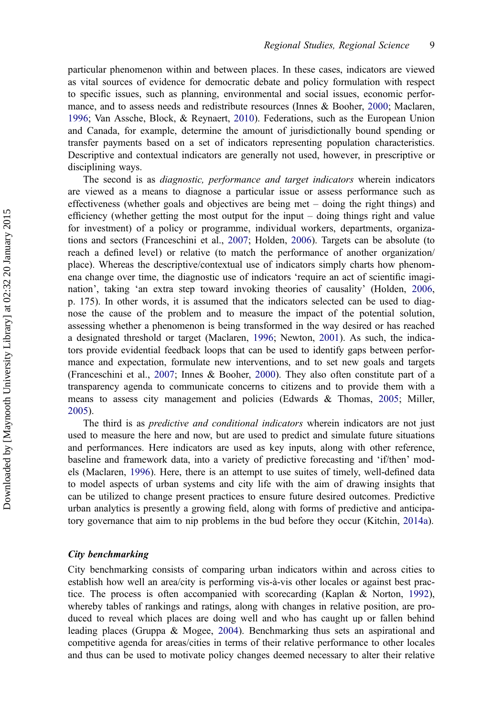particular phenomenon within and between places. In these cases, indicators are viewed as vital sources of evidence for democratic debate and policy formulation with respect to specific issues, such as planning, environmental and social issues, economic performance, and to assess needs and redistribute resources (Innes & Booher, [2000;](#page-22-0) Maclaren, [1996;](#page-23-0) Van Assche, Block, & Reynaert, [2010](#page-24-0)). Federations, such as the European Union and Canada, for example, determine the amount of jurisdictionally bound spending or transfer payments based on a set of indicators representing population characteristics. Descriptive and contextual indicators are generally not used, however, in prescriptive or disciplining ways.

The second is as *diagnostic, performance and target indicators* wherein indicators are viewed as a means to diagnose a particular issue or assess performance such as effectiveness (whether goals and objectives are being met – doing the right things) and efficiency (whether getting the most output for the input – doing things right and value for investment) of a policy or programme, individual workers, departments, organizations and sectors (Franceschini et al., [2007;](#page-22-0) Holden, [2006\)](#page-22-0). Targets can be absolute (to reach a defined level) or relative (to match the performance of another organization/ place). Whereas the descriptive/contextual use of indicators simply charts how phenomena change over time, the diagnostic use of indicators 'require an act of scientific imagination', taking 'an extra step toward invoking theories of causality' (Holden, [2006](#page-22-0), p. 175). In other words, it is assumed that the indicators selected can be used to diagnose the cause of the problem and to measure the impact of the potential solution, assessing whether a phenomenon is being transformed in the way desired or has reached a designated threshold or target (Maclaren, [1996](#page-23-0); Newton, [2001](#page-23-0)). As such, the indicators provide evidential feedback loops that can be used to identify gaps between performance and expectation, formulate new interventions, and to set new goals and targets (Franceschini et al., [2007](#page-22-0); Innes & Booher, [2000](#page-22-0)). They also often constitute part of a transparency agenda to communicate concerns to citizens and to provide them with a means to assess city management and policies (Edwards & Thomas, [2005](#page-22-0); Miller, [2005\)](#page-23-0).

The third is as *predictive and conditional indicators* wherein indicators are not just used to measure the here and now, but are used to predict and simulate future situations and performances. Here indicators are used as key inputs, along with other reference, baseline and framework data, into a variety of predictive forecasting and 'if/then' models (Maclaren, [1996](#page-23-0)). Here, there is an attempt to use suites of timely, well-defined data to model aspects of urban systems and city life with the aim of drawing insights that can be utilized to change present practices to ensure future desired outcomes. Predictive urban analytics is presently a growing field, along with forms of predictive and anticipatory governance that aim to nip problems in the bud before they occur (Kitchin, [2014a\)](#page-23-0).

# City benchmarking

City benchmarking consists of comparing urban indicators within and across cities to establish how well an area/city is performing vis-à-vis other locales or against best practice. The process is often accompanied with scorecarding (Kaplan & Norton, [1992\)](#page-23-0), whereby tables of rankings and ratings, along with changes in relative position, are produced to reveal which places are doing well and who has caught up or fallen behind leading places (Gruppa & Mogee, [2004](#page-22-0)). Benchmarking thus sets an aspirational and competitive agenda for areas/cities in terms of their relative performance to other locales and thus can be used to motivate policy changes deemed necessary to alter their relative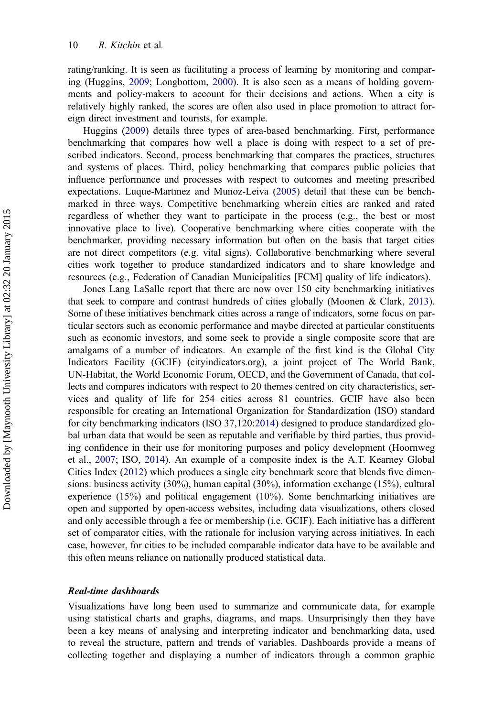rating/ranking. It is seen as facilitating a process of learning by monitoring and comparing (Huggins, [2009](#page-22-0); Longbottom, [2000\)](#page-23-0). It is also seen as a means of holding governments and policy-makers to account for their decisions and actions. When a city is relatively highly ranked, the scores are often also used in place promotion to attract foreign direct investment and tourists, for example.

Huggins ([2009\)](#page-22-0) details three types of area-based benchmarking. First, performance benchmarking that compares how well a place is doing with respect to a set of prescribed indicators. Second, process benchmarking that compares the practices, structures and systems of places. Third, policy benchmarking that compares public policies that influence performance and processes with respect to outcomes and meeting prescribed expectations. Luque-Martınez and Munoz-Leiva [\(2005](#page-23-0)) detail that these can be benchmarked in three ways. Competitive benchmarking wherein cities are ranked and rated regardless of whether they want to participate in the process (e.g., the best or most innovative place to live). Cooperative benchmarking where cities cooperate with the benchmarker, providing necessary information but often on the basis that target cities are not direct competitors (e.g. vital signs). Collaborative benchmarking where several cities work together to produce standardized indicators and to share knowledge and resources (e.g., Federation of Canadian Municipalities [FCM] quality of life indicators).

Jones Lang LaSalle report that there are now over 150 city benchmarking initiatives that seek to compare and contrast hundreds of cities globally (Moonen & Clark, [2013\)](#page-23-0). Some of these initiatives benchmark cities across a range of indicators, some focus on particular sectors such as economic performance and maybe directed at particular constituents such as economic investors, and some seek to provide a single composite score that are amalgams of a number of indicators. An example of the first kind is the Global City Indicators Facility (GCIF) (cityindicators.org), a joint project of The World Bank, UN-Habitat, the World Economic Forum, OECD, and the Government of Canada, that collects and compares indicators with respect to 20 themes centred on city characteristics, services and quality of life for 254 cities across 81 countries. GCIF have also been responsible for creating an International Organization for Standardization (ISO) standard for city benchmarking indicators (ISO 37,120[:2014](#page-22-0)) designed to produce standardized global urban data that would be seen as reputable and verifiable by third parties, thus providing confidence in their use for monitoring purposes and policy development (Hoornweg et al., [2007](#page-22-0); ISO, [2014\)](#page-22-0). An example of a composite index is the A.T. Kearney Global Cities Index [\(2012](#page-23-0)) which produces a single city benchmark score that blends five dimensions: business activity (30%), human capital (30%), information exchange (15%), cultural experience (15%) and political engagement (10%). Some benchmarking initiatives are open and supported by open-access websites, including data visualizations, others closed and only accessible through a fee or membership (i.e. GCIF). Each initiative has a different set of comparator cities, with the rationale for inclusion varying across initiatives. In each case, however, for cities to be included comparable indicator data have to be available and this often means reliance on nationally produced statistical data.

#### Real-time dashboards

Visualizations have long been used to summarize and communicate data, for example using statistical charts and graphs, diagrams, and maps. Unsurprisingly then they have been a key means of analysing and interpreting indicator and benchmarking data, used to reveal the structure, pattern and trends of variables. Dashboards provide a means of collecting together and displaying a number of indicators through a common graphic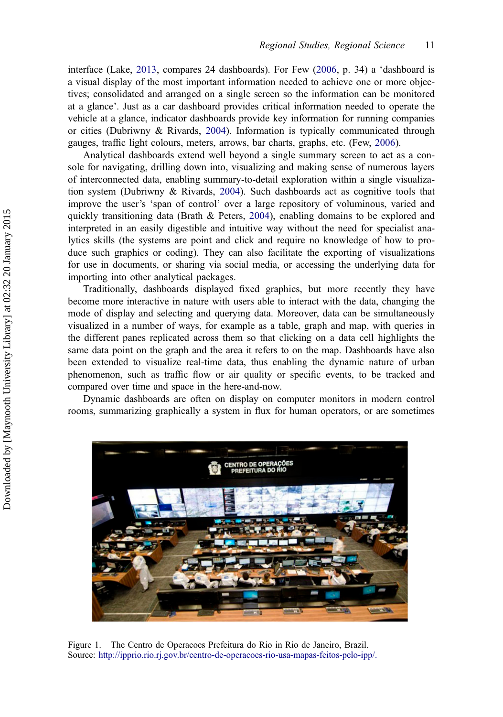<span id="page-7-0"></span>interface (Lake, [2013,](#page-23-0) compares 24 dashboards). For Few [\(2006](#page-22-0), p. 34) a 'dashboard is a visual display of the most important information needed to achieve one or more objectives; consolidated and arranged on a single screen so the information can be monitored at a glance'. Just as a car dashboard provides critical information needed to operate the vehicle at a glance, indicator dashboards provide key information for running companies or cities (Dubriwny & Rivards, [2004\)](#page-22-0). Information is typically communicated through gauges, traffic light colours, meters, arrows, bar charts, graphs, etc. (Few, [2006\)](#page-22-0).

Analytical dashboards extend well beyond a single summary screen to act as a console for navigating, drilling down into, visualizing and making sense of numerous layers of interconnected data, enabling summary-to-detail exploration within a single visualization system (Dubriwny & Rivards, [2004\)](#page-22-0). Such dashboards act as cognitive tools that improve the user's 'span of control' over a large repository of voluminous, varied and quickly transitioning data (Brath & Peters, [2004\)](#page-21-0), enabling domains to be explored and interpreted in an easily digestible and intuitive way without the need for specialist analytics skills (the systems are point and click and require no knowledge of how to produce such graphics or coding). They can also facilitate the exporting of visualizations for use in documents, or sharing via social media, or accessing the underlying data for importing into other analytical packages.

Traditionally, dashboards displayed fixed graphics, but more recently they have become more interactive in nature with users able to interact with the data, changing the mode of display and selecting and querying data. Moreover, data can be simultaneously visualized in a number of ways, for example as a table, graph and map, with queries in the different panes replicated across them so that clicking on a data cell highlights the same data point on the graph and the area it refers to on the map. Dashboards have also been extended to visualize real-time data, thus enabling the dynamic nature of urban phenomenon, such as traffic flow or air quality or specific events, to be tracked and compared over time and space in the here-and-now.

Dynamic dashboards are often on display on computer monitors in modern control rooms, summarizing graphically a system in flux for human operators, or are sometimes



Figure 1. The Centro de Operacoes Prefeitura do Rio in Rio de Janeiro, Brazil. Source: <http://ipprio.rio.rj.gov.br/centro-de-operacoes-rio-usa-mapas-feitos-pelo-ipp/.>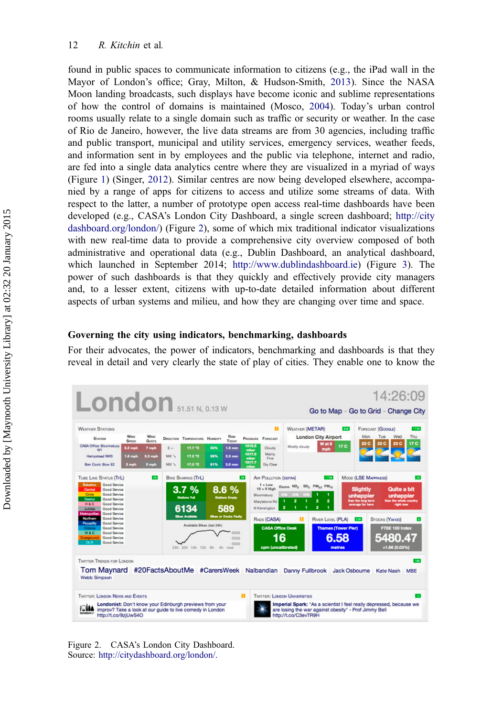found in public spaces to communicate information to citizens (e.g., the iPad wall in the Mayor of London's office; Gray, Milton, & Hudson-Smith, [2013](#page-22-0)). Since the NASA Moon landing broadcasts, such displays have become iconic and sublime representations of how the control of domains is maintained (Mosco, [2004\)](#page-23-0). Today's urban control rooms usually relate to a single domain such as traffic or security or weather. In the case of Rio de Janeiro, however, the live data streams are from 30 agencies, including traffic and public transport, municipal and utility services, emergency services, weather feeds, and information sent in by employees and the public via telephone, internet and radio, are fed into a single data analytics centre where they are visualized in a myriad of ways (Figure [1\)](#page-7-0) (Singer, [2012](#page-24-0)). Similar centres are now being developed elsewhere, accompanied by a range of apps for citizens to access and utilize some streams of data. With respect to the latter, a number of prototype open access real-time dashboards have been developed (e.g., CASA's London City Dashboard, a single screen dashboard; [http://city](http://citydashboard.org/london/) [dashboard.org/london/](http://citydashboard.org/london/)) (Figure 2), some of which mix traditional indicator visualizations with new real-time data to provide a comprehensive city overview composed of both administrative and operational data (e.g., Dublin Dashboard, an analytical dashboard, which launched in September 2014; [http://www.dublindashboard.ie\)](http://www.dublindashboard.ie) (Figure [3\)](#page-9-0). The power of such dashboards is that they quickly and effectively provide city managers and, to a lesser extent, citizens with up-to-date detailed information about different aspects of urban systems and milieu, and how they are changing over time and space.

# Governing the city using indicators, benchmarking, dashboards

For their advocates, the power of indicators, benchmarking and dashboards is that they reveal in detail and very clearly the state of play of cities. They enable one to know the



Figure 2. CASA's London City Dashboard. Source: <http://citydashboard.org/london/.>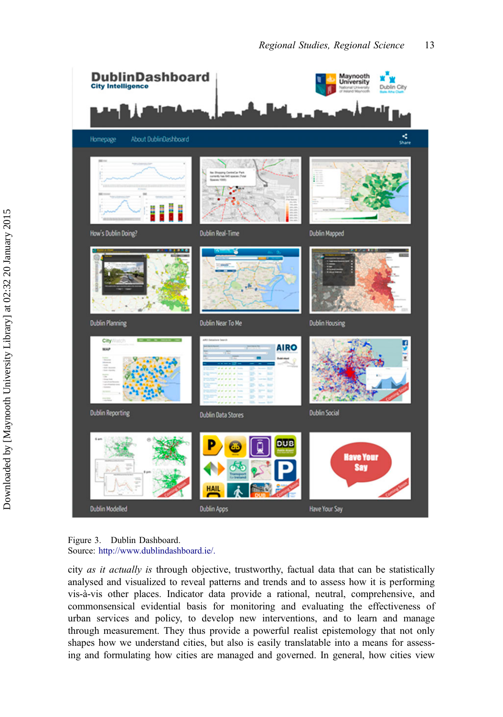<span id="page-9-0"></span>

Figure 3. Dublin Dashboard. Source: <http://www.dublindashboard.ie/.>

city as it actually is through objective, trustworthy, factual data that can be statistically analysed and visualized to reveal patterns and trends and to assess how it is performing vis-à-vis other places. Indicator data provide a rational, neutral, comprehensive, and commonsensical evidential basis for monitoring and evaluating the effectiveness of urban services and policy, to develop new interventions, and to learn and manage through measurement. They thus provide a powerful realist epistemology that not only shapes how we understand cities, but also is easily translatable into a means for assessing and formulating how cities are managed and governed. In general, how cities view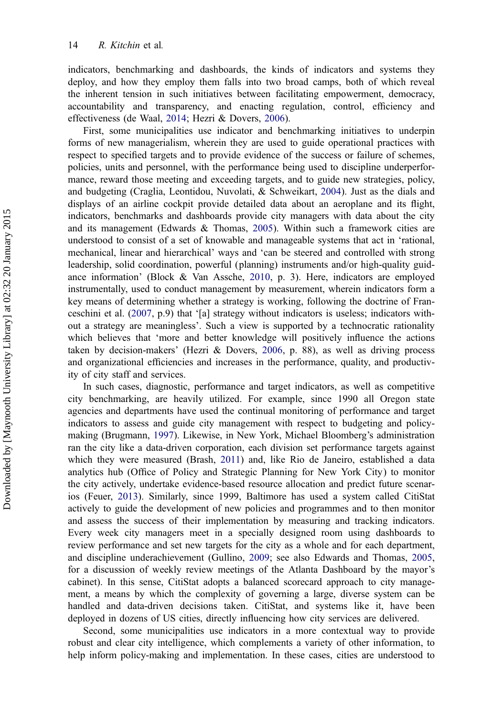indicators, benchmarking and dashboards, the kinds of indicators and systems they deploy, and how they employ them falls into two broad camps, both of which reveal the inherent tension in such initiatives between facilitating empowerment, democracy, accountability and transparency, and enacting regulation, control, efficiency and effectiveness (de Waal, [2014;](#page-22-0) Hezri & Dovers, [2006](#page-22-0)).

First, some municipalities use indicator and benchmarking initiatives to underpin forms of new managerialism, wherein they are used to guide operational practices with respect to specified targets and to provide evidence of the success or failure of schemes, policies, units and personnel, with the performance being used to discipline underperformance, reward those meeting and exceeding targets, and to guide new strategies, policy, and budgeting (Craglia, Leontidou, Nuvolati, & Schweikart, [2004\)](#page-22-0). Just as the dials and displays of an airline cockpit provide detailed data about an aeroplane and its flight, indicators, benchmarks and dashboards provide city managers with data about the city and its management (Edwards & Thomas, [2005\)](#page-22-0). Within such a framework cities are understood to consist of a set of knowable and manageable systems that act in 'rational, mechanical, linear and hierarchical' ways and 'can be steered and controlled with strong leadership, solid coordination, powerful (planning) instruments and/or high-quality guidance information' (Block & Van Assche, [2010](#page-21-0), p. 3). Here, indicators are employed instrumentally, used to conduct management by measurement, wherein indicators form a key means of determining whether a strategy is working, following the doctrine of Franceschini et al. ([2007,](#page-22-0) p.9) that '[a] strategy without indicators is useless; indicators without a strategy are meaningless'. Such a view is supported by a technocratic rationality which believes that 'more and better knowledge will positively influence the actions taken by decision-makers' (Hezri & Dovers, [2006](#page-22-0), p. 88), as well as driving process and organizational efficiencies and increases in the performance, quality, and productivity of city staff and services.

In such cases, diagnostic, performance and target indicators, as well as competitive city benchmarking, are heavily utilized. For example, since 1990 all Oregon state agencies and departments have used the continual monitoring of performance and target indicators to assess and guide city management with respect to budgeting and policymaking (Brugmann, [1997\)](#page-21-0). Likewise, in New York, Michael Bloomberg's administration ran the city like a data-driven corporation, each division set performance targets against which they were measured (Brash, [2011](#page-21-0)) and, like Rio de Janeiro, established a data analytics hub (Office of Policy and Strategic Planning for New York City) to monitor the city actively, undertake evidence-based resource allocation and predict future scenarios (Feuer, [2013\)](#page-22-0). Similarly, since 1999, Baltimore has used a system called CitiStat actively to guide the development of new policies and programmes and to then monitor and assess the success of their implementation by measuring and tracking indicators. Every week city managers meet in a specially designed room using dashboards to review performance and set new targets for the city as a whole and for each department, and discipline underachievement (Gullino, [2009](#page-22-0); see also Edwards and Thomas, [2005](#page-22-0), for a discussion of weekly review meetings of the Atlanta Dashboard by the mayor's cabinet). In this sense, CitiStat adopts a balanced scorecard approach to city management, a means by which the complexity of governing a large, diverse system can be handled and data-driven decisions taken. CitiStat, and systems like it, have been deployed in dozens of US cities, directly influencing how city services are delivered.

Second, some municipalities use indicators in a more contextual way to provide robust and clear city intelligence, which complements a variety of other information, to help inform policy-making and implementation. In these cases, cities are understood to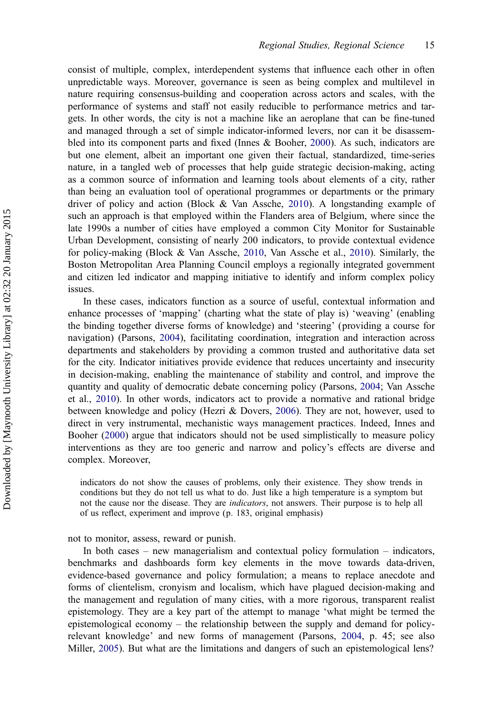consist of multiple, complex, interdependent systems that influence each other in often unpredictable ways. Moreover, governance is seen as being complex and multilevel in nature requiring consensus-building and cooperation across actors and scales, with the performance of systems and staff not easily reducible to performance metrics and targets. In other words, the city is not a machine like an aeroplane that can be fine-tuned and managed through a set of simple indicator-informed levers, nor can it be disassembled into its component parts and fixed (Innes & Booher, [2000](#page-22-0)). As such, indicators are but one element, albeit an important one given their factual, standardized, time-series nature, in a tangled web of processes that help guide strategic decision-making, acting as a common source of information and learning tools about elements of a city, rather than being an evaluation tool of operational programmes or departments or the primary driver of policy and action (Block & Van Assche, [2010\)](#page-21-0). A longstanding example of such an approach is that employed within the Flanders area of Belgium, where since the late 1990s a number of cities have employed a common City Monitor for Sustainable Urban Development, consisting of nearly 200 indicators, to provide contextual evidence for policy-making (Block & Van Assche, [2010,](#page-21-0) Van Assche et al., [2010](#page-24-0)). Similarly, the Boston Metropolitan Area Planning Council employs a regionally integrated government and citizen led indicator and mapping initiative to identify and inform complex policy issues.

In these cases, indicators function as a source of useful, contextual information and enhance processes of 'mapping' (charting what the state of play is) 'weaving' (enabling the binding together diverse forms of knowledge) and 'steering' (providing a course for navigation) (Parsons, [2004\)](#page-23-0), facilitating coordination, integration and interaction across departments and stakeholders by providing a common trusted and authoritative data set for the city. Indicator initiatives provide evidence that reduces uncertainty and insecurity in decision-making, enabling the maintenance of stability and control, and improve the quantity and quality of democratic debate concerning policy (Parsons, [2004](#page-23-0); Van Assche et al., [2010\)](#page-24-0). In other words, indicators act to provide a normative and rational bridge between knowledge and policy (Hezri & Dovers, [2006](#page-22-0)). They are not, however, used to direct in very instrumental, mechanistic ways management practices. Indeed, Innes and Booher ([2000\)](#page-22-0) argue that indicators should not be used simplistically to measure policy interventions as they are too generic and narrow and policy's effects are diverse and complex. Moreover,

indicators do not show the causes of problems, only their existence. They show trends in conditions but they do not tell us what to do. Just like a high temperature is a symptom but not the cause nor the disease. They are *indicators*, not answers. Their purpose is to help all of us reflect, experiment and improve (p. 183, original emphasis)

not to monitor, assess, reward or punish.

In both cases – new managerialism and contextual policy formulation – indicators, benchmarks and dashboards form key elements in the move towards data-driven, evidence-based governance and policy formulation; a means to replace anecdote and forms of clientelism, cronyism and localism, which have plagued decision-making and the management and regulation of many cities, with a more rigorous, transparent realist epistemology. They are a key part of the attempt to manage 'what might be termed the epistemological economy – the relationship between the supply and demand for policyrelevant knowledge' and new forms of management (Parsons, [2004](#page-23-0), p. 45; see also Miller, [2005\)](#page-23-0). But what are the limitations and dangers of such an epistemological lens?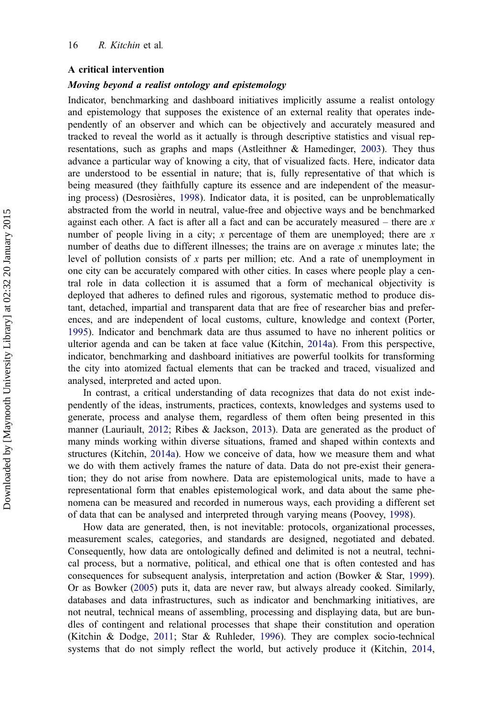# A critical intervention

# Moving beyond a realist ontology and epistemology

Indicator, benchmarking and dashboard initiatives implicitly assume a realist ontology and epistemology that supposes the existence of an external reality that operates independently of an observer and which can be objectively and accurately measured and tracked to reveal the world as it actually is through descriptive statistics and visual representations, such as graphs and maps (Astleithner & Hamedinger, [2003](#page-21-0)). They thus advance a particular way of knowing a city, that of visualized facts. Here, indicator data are understood to be essential in nature; that is, fully representative of that which is being measured (they faithfully capture its essence and are independent of the measuring process) (Desrosières, [1998\)](#page-22-0). Indicator data, it is posited, can be unproblematically abstracted from the world in neutral, value-free and objective ways and be benchmarked against each other. A fact is after all a fact and can be accurately measured – there are  $x$ number of people living in a city;  $x$  percentage of them are unemployed; there are  $x$ number of deaths due to different illnesses; the trains are on average x minutes late; the level of pollution consists of x parts per million; etc. And a rate of unemployment in one city can be accurately compared with other cities. In cases where people play a central role in data collection it is assumed that a form of mechanical objectivity is deployed that adheres to defined rules and rigorous, systematic method to produce distant, detached, impartial and transparent data that are free of researcher bias and preferences, and are independent of local customs, culture, knowledge and context (Porter, [1995\)](#page-23-0). Indicator and benchmark data are thus assumed to have no inherent politics or ulterior agenda and can be taken at face value (Kitchin, [2014a](#page-23-0)). From this perspective, indicator, benchmarking and dashboard initiatives are powerful toolkits for transforming the city into atomized factual elements that can be tracked and traced, visualized and analysed, interpreted and acted upon.

In contrast, a critical understanding of data recognizes that data do not exist independently of the ideas, instruments, practices, contexts, knowledges and systems used to generate, process and analyse them, regardless of them often being presented in this manner (Lauriault, [2012](#page-23-0); Ribes & Jackson, [2013](#page-24-0)). Data are generated as the product of many minds working within diverse situations, framed and shaped within contexts and structures (Kitchin, [2014a](#page-23-0)). How we conceive of data, how we measure them and what we do with them actively frames the nature of data. Data do not pre-exist their generation; they do not arise from nowhere. Data are epistemological units, made to have a representational form that enables epistemological work, and data about the same phenomena can be measured and recorded in numerous ways, each providing a different set of data that can be analysed and interpreted through varying means (Poovey, [1998\)](#page-23-0).

How data are generated, then, is not inevitable: protocols, organizational processes, measurement scales, categories, and standards are designed, negotiated and debated. Consequently, how data are ontologically defined and delimited is not a neutral, technical process, but a normative, political, and ethical one that is often contested and has consequences for subsequent analysis, interpretation and action (Bowker & Star, [1999\)](#page-21-0). Or as Bowker [\(2005](#page-21-0)) puts it, data are never raw, but always already cooked. Similarly, databases and data infrastructures, such as indicator and benchmarking initiatives, are not neutral, technical means of assembling, processing and displaying data, but are bundles of contingent and relational processes that shape their constitution and operation (Kitchin & Dodge, [2011;](#page-23-0) Star & Ruhleder, [1996](#page-24-0)). They are complex socio-technical systems that do not simply reflect the world, but actively produce it (Kitchin, [2014](#page-23-0),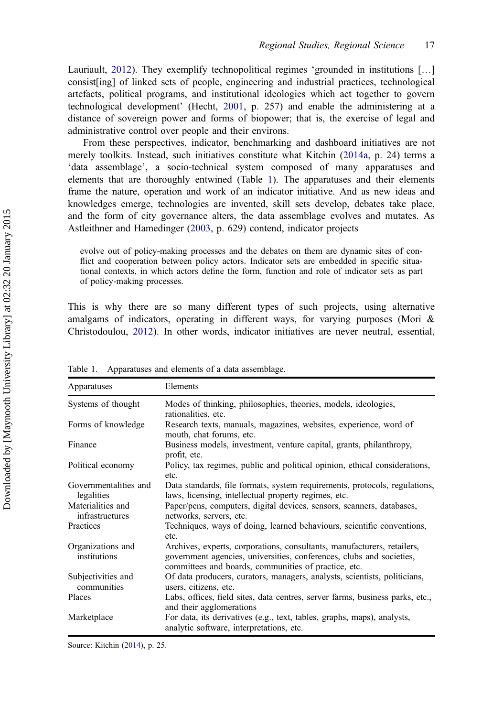Lauriault, [2012](#page-23-0)). They exemplify technopolitical regimes 'grounded in institutions [...] consist[ing] of linked sets of people, engineering and industrial practices, technological artefacts, political programs, and institutional ideologies which act together to govern technological development' (Hecht, [2001](#page-22-0), p. 257) and enable the administering at a distance of sovereign power and forms of biopower; that is, the exercise of legal and administrative control over people and their environs.

From these perspectives, indicator, benchmarking and dashboard initiatives are not merely toolkits. Instead, such initiatives constitute what Kitchin ([2014a](#page-23-0), p. 24) terms a 'data assemblage', a socio-technical system composed of many apparatuses and elements that are thoroughly entwined (Table 1). The apparatuses and their elements frame the nature, operation and work of an indicator initiative. And as new ideas and knowledges emerge, technologies are invented, skill sets develop, debates take place, and the form of city governance alters, the data assemblage evolves and mutates. As Astleithner and Hamedinger ([2003,](#page-21-0) p. 629) contend, indicator projects

evolve out of policy-making processes and the debates on them are dynamic sites of conflict and cooperation between policy actors. Indicator sets are embedded in specific situational contexts, in which actors define the form, function and role of indicator sets as part of policy-making processes.

This is why there are so many different types of such projects, using alternative amalgams of indicators, operating in different ways, for varying purposes (Mori & Christodoulou, [2012](#page-23-0)). In other words, indicator initiatives are never neutral, essential,

| Apparatuses                          | Elements                                                                                                                                                                                                |
|--------------------------------------|---------------------------------------------------------------------------------------------------------------------------------------------------------------------------------------------------------|
| Systems of thought                   | Modes of thinking, philosophies, theories, models, ideologies,<br>rationalities, etc.                                                                                                                   |
| Forms of knowledge                   | Research texts, manuals, magazines, websites, experience, word of<br>mouth, chat forums, etc.                                                                                                           |
| Finance                              | Business models, investment, venture capital, grants, philanthropy,<br>profit, etc.                                                                                                                     |
| Political economy                    | Policy, tax regimes, public and political opinion, ethical considerations,<br>etc.                                                                                                                      |
| Governmentalities and<br>legalities  | Data standards, file formats, system requirements, protocols, regulations,<br>laws, licensing, intellectual property regimes, etc.                                                                      |
| Materialities and<br>infrastructures | Paper/pens, computers, digital devices, sensors, scanners, databases,<br>networks, servers, etc.                                                                                                        |
| Practices                            | Techniques, ways of doing, learned behaviours, scientific conventions,<br>etc.                                                                                                                          |
| Organizations and<br>institutions    | Archives, experts, corporations, consultants, manufacturers, retailers,<br>government agencies, universities, conferences, clubs and societies,<br>committees and boards, communities of practice, etc. |
| Subjectivities and<br>communities    | Of data producers, curators, managers, analysts, scientists, politicians,<br>users, citizens, etc.                                                                                                      |
| Places                               | Labs, offices, field sites, data centres, server farms, business parks, etc.,<br>and their agglomerations                                                                                               |
| Marketplace                          | For data, its derivatives (e.g., text, tables, graphs, maps), analysts,<br>analytic software, interpretations, etc.                                                                                     |

Table 1. Apparatuses and elements of a data assemblage.

Source: Kitchin [\(2014\)](#page-23-0), p. 25.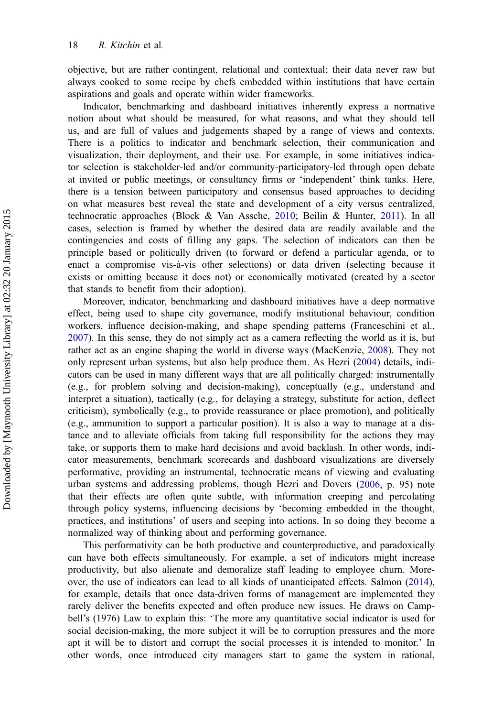objective, but are rather contingent, relational and contextual; their data never raw but always cooked to some recipe by chefs embedded within institutions that have certain aspirations and goals and operate within wider frameworks.

Indicator, benchmarking and dashboard initiatives inherently express a normative notion about what should be measured, for what reasons, and what they should tell us, and are full of values and judgements shaped by a range of views and contexts. There is a politics to indicator and benchmark selection, their communication and visualization, their deployment, and their use. For example, in some initiatives indicator selection is stakeholder-led and/or community-participatory-led through open debate at invited or public meetings, or consultancy firms or 'independent' think tanks. Here, there is a tension between participatory and consensus based approaches to deciding on what measures best reveal the state and development of a city versus centralized, technocratic approaches (Block & Van Assche, [2010;](#page-21-0) Beilin & Hunter, [2011](#page-21-0)). In all cases, selection is framed by whether the desired data are readily available and the contingencies and costs of filling any gaps. The selection of indicators can then be principle based or politically driven (to forward or defend a particular agenda, or to enact a compromise vis-à-vis other selections) or data driven (selecting because it exists or omitting because it does not) or economically motivated (created by a sector that stands to benefit from their adoption).

Moreover, indicator, benchmarking and dashboard initiatives have a deep normative effect, being used to shape city governance, modify institutional behaviour, condition workers, influence decision-making, and shape spending patterns (Franceschini et al., [2007\)](#page-22-0). In this sense, they do not simply act as a camera reflecting the world as it is, but rather act as an engine shaping the world in diverse ways (MacKenzie, [2008\)](#page-23-0). They not only represent urban systems, but also help produce them. As Hezri ([2004\)](#page-22-0) details, indicators can be used in many different ways that are all politically charged: instrumentally (e.g., for problem solving and decision-making), conceptually (e.g., understand and interpret a situation), tactically (e.g., for delaying a strategy, substitute for action, deflect criticism), symbolically (e.g., to provide reassurance or place promotion), and politically (e.g., ammunition to support a particular position). It is also a way to manage at a distance and to alleviate officials from taking full responsibility for the actions they may take, or supports them to make hard decisions and avoid backlash. In other words, indicator measurements, benchmark scorecards and dashboard visualizations are diversely performative, providing an instrumental, technocratic means of viewing and evaluating urban systems and addressing problems, though Hezri and Dovers ([2006,](#page-22-0) p. 95) note that their effects are often quite subtle, with information creeping and percolating through policy systems, influencing decisions by 'becoming embedded in the thought, practices, and institutions' of users and seeping into actions. In so doing they become a normalized way of thinking about and performing governance.

This performativity can be both productive and counterproductive, and paradoxically can have both effects simultaneously. For example, a set of indicators might increase productivity, but also alienate and demoralize staff leading to employee churn. Moreover, the use of indicators can lead to all kinds of unanticipated effects. Salmon ([2014\)](#page-24-0), for example, details that once data-driven forms of management are implemented they rarely deliver the benefits expected and often produce new issues. He draws on Campbell's (1976) Law to explain this: 'The more any quantitative social indicator is used for social decision-making, the more subject it will be to corruption pressures and the more apt it will be to distort and corrupt the social processes it is intended to monitor.' In other words, once introduced city managers start to game the system in rational,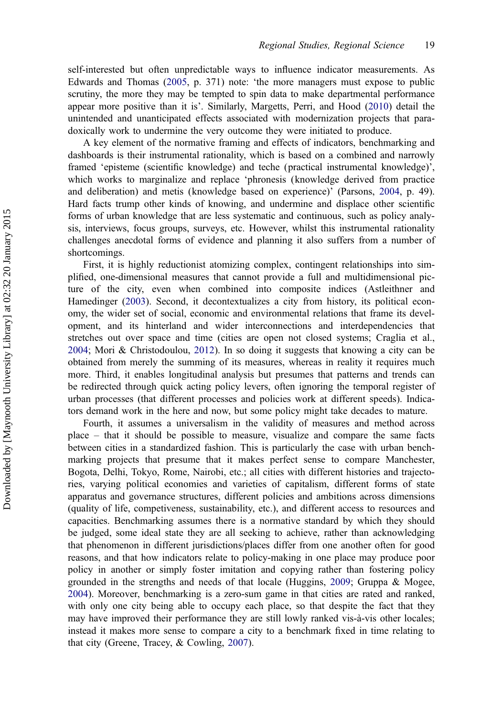self-interested but often unpredictable ways to influence indicator measurements. As Edwards and Thomas ([2005](#page-22-0), p. 371) note: 'the more managers must expose to public scrutiny, the more they may be tempted to spin data to make departmental performance appear more positive than it is'. Similarly, Margetts, Perri, and Hood [\(2010](#page-23-0)) detail the unintended and unanticipated effects associated with modernization projects that paradoxically work to undermine the very outcome they were initiated to produce.

A key element of the normative framing and effects of indicators, benchmarking and dashboards is their instrumental rationality, which is based on a combined and narrowly framed 'episteme (scientific knowledge) and teche (practical instrumental knowledge)', which works to marginalize and replace 'phronesis (knowledge derived from practice and deliberation) and metis (knowledge based on experience)' (Parsons, [2004](#page-23-0), p. 49). Hard facts trump other kinds of knowing, and undermine and displace other scientific forms of urban knowledge that are less systematic and continuous, such as policy analysis, interviews, focus groups, surveys, etc. However, whilst this instrumental rationality challenges anecdotal forms of evidence and planning it also suffers from a number of shortcomings.

First, it is highly reductionist atomizing complex, contingent relationships into simplified, one-dimensional measures that cannot provide a full and multidimensional picture of the city, even when combined into composite indices (Astleithner and Hamedinger [\(2003](#page-21-0)). Second, it decontextualizes a city from history, its political economy, the wider set of social, economic and environmental relations that frame its development, and its hinterland and wider interconnections and interdependencies that stretches out over space and time (cities are open not closed systems; Craglia et al., [2004;](#page-22-0) Mori & Christodoulou, [2012](#page-23-0)). In so doing it suggests that knowing a city can be obtained from merely the summing of its measures, whereas in reality it requires much more. Third, it enables longitudinal analysis but presumes that patterns and trends can be redirected through quick acting policy levers, often ignoring the temporal register of urban processes (that different processes and policies work at different speeds). Indicators demand work in the here and now, but some policy might take decades to mature.

Fourth, it assumes a universalism in the validity of measures and method across place – that it should be possible to measure, visualize and compare the same facts between cities in a standardized fashion. This is particularly the case with urban benchmarking projects that presume that it makes perfect sense to compare Manchester, Bogota, Delhi, Tokyo, Rome, Nairobi, etc.; all cities with different histories and trajectories, varying political economies and varieties of capitalism, different forms of state apparatus and governance structures, different policies and ambitions across dimensions (quality of life, competiveness, sustainability, etc.), and different access to resources and capacities. Benchmarking assumes there is a normative standard by which they should be judged, some ideal state they are all seeking to achieve, rather than acknowledging that phenomenon in different jurisdictions/places differ from one another often for good reasons, and that how indicators relate to policy-making in one place may produce poor policy in another or simply foster imitation and copying rather than fostering policy grounded in the strengths and needs of that locale (Huggins, [2009;](#page-22-0) Gruppa & Mogee, [2004\)](#page-22-0). Moreover, benchmarking is a zero-sum game in that cities are rated and ranked, with only one city being able to occupy each place, so that despite the fact that they may have improved their performance they are still lowly ranked vis-à-vis other locales; instead it makes more sense to compare a city to a benchmark fixed in time relating to that city (Greene, Tracey, & Cowling, [2007\)](#page-22-0).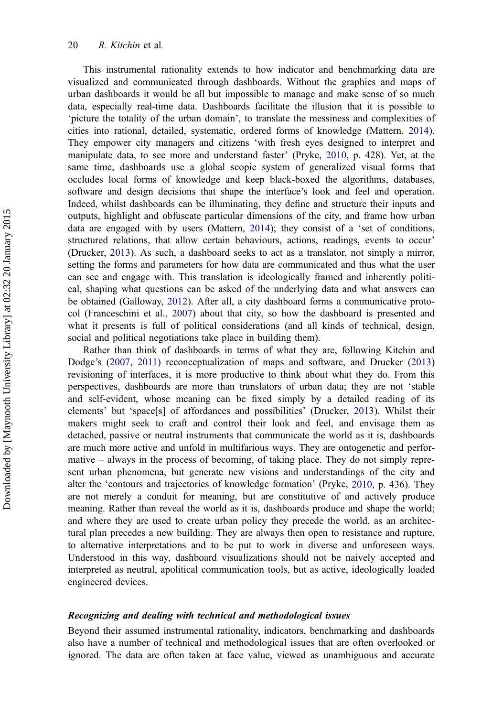This instrumental rationality extends to how indicator and benchmarking data are visualized and communicated through dashboards. Without the graphics and maps of urban dashboards it would be all but impossible to manage and make sense of so much data, especially real-time data. Dashboards facilitate the illusion that it is possible to 'picture the totality of the urban domain', to translate the messiness and complexities of cities into rational, detailed, systematic, ordered forms of knowledge (Mattern, [2014\)](#page-23-0). They empower city managers and citizens 'with fresh eyes designed to interpret and manipulate data, to see more and understand faster' (Pryke, [2010,](#page-24-0) p. 428). Yet, at the same time, dashboards use a global scopic system of generalized visual forms that occludes local forms of knowledge and keep black-boxed the algorithms, databases, software and design decisions that shape the interface's look and feel and operation. Indeed, whilst dashboards can be illuminating, they define and structure their inputs and outputs, highlight and obfuscate particular dimensions of the city, and frame how urban data are engaged with by users (Mattern, [2014](#page-23-0)); they consist of a 'set of conditions, structured relations, that allow certain behaviours, actions, readings, events to occur' (Drucker, [2013](#page-22-0)). As such, a dashboard seeks to act as a translator, not simply a mirror, setting the forms and parameters for how data are communicated and thus what the user can see and engage with. This translation is ideologically framed and inherently political, shaping what questions can be asked of the underlying data and what answers can be obtained (Galloway, [2012](#page-22-0)). After all, a city dashboard forms a communicative protocol (Franceschini et al., [2007\)](#page-22-0) about that city, so how the dashboard is presented and what it presents is full of political considerations (and all kinds of technical, design, social and political negotiations take place in building them).

Rather than think of dashboards in terms of what they are, following Kitchin and Dodge's ([2007,](#page-23-0) [2011\)](#page-23-0) reconceptualization of maps and software, and Drucker [\(2013](#page-22-0)) revisioning of interfaces, it is more productive to think about what they do. From this perspectives, dashboards are more than translators of urban data; they are not 'stable and self-evident, whose meaning can be fixed simply by a detailed reading of its elements' but 'space[s] of affordances and possibilities' (Drucker, [2013](#page-22-0)). Whilst their makers might seek to craft and control their look and feel, and envisage them as detached, passive or neutral instruments that communicate the world as it is, dashboards are much more active and unfold in multifarious ways. They are ontogenetic and performative – always in the process of becoming, of taking place. They do not simply represent urban phenomena, but generate new visions and understandings of the city and alter the 'contours and trajectories of knowledge formation' (Pryke, [2010](#page-24-0), p. 436). They are not merely a conduit for meaning, but are constitutive of and actively produce meaning. Rather than reveal the world as it is, dashboards produce and shape the world; and where they are used to create urban policy they precede the world, as an architectural plan precedes a new building. They are always then open to resistance and rupture, to alternative interpretations and to be put to work in diverse and unforeseen ways. Understood in this way, dashboard visualizations should not be naively accepted and interpreted as neutral, apolitical communication tools, but as active, ideologically loaded engineered devices.

#### Recognizing and dealing with technical and methodological issues

Beyond their assumed instrumental rationality, indicators, benchmarking and dashboards also have a number of technical and methodological issues that are often overlooked or ignored. The data are often taken at face value, viewed as unambiguous and accurate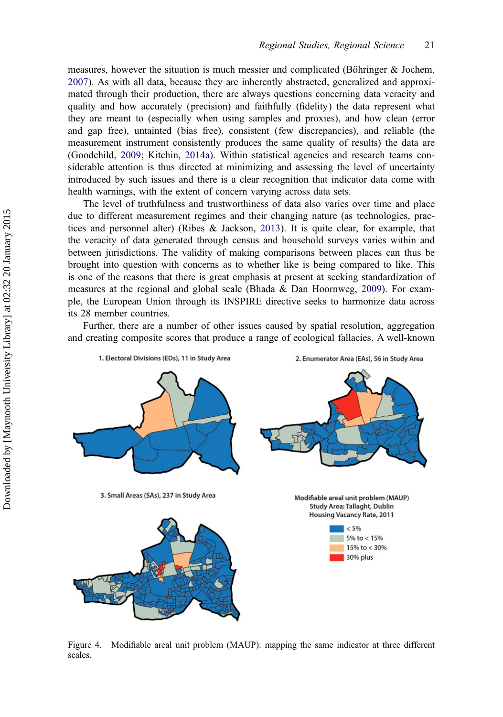<span id="page-17-0"></span>measures, however the situation is much messier and complicated (Böhringer & Jochem, [2007\)](#page-21-0). As with all data, because they are inherently abstracted, generalized and approximated through their production, there are always questions concerning data veracity and quality and how accurately (precision) and faithfully (fidelity) the data represent what they are meant to (especially when using samples and proxies), and how clean (error and gap free), untainted (bias free), consistent (few discrepancies), and reliable (the measurement instrument consistently produces the same quality of results) the data are (Goodchild, [2009](#page-22-0); Kitchin, [2014a\)](#page-23-0). Within statistical agencies and research teams considerable attention is thus directed at minimizing and assessing the level of uncertainty introduced by such issues and there is a clear recognition that indicator data come with health warnings, with the extent of concern varying across data sets.

The level of truthfulness and trustworthiness of data also varies over time and place due to different measurement regimes and their changing nature (as technologies, practices and personnel alter) (Ribes & Jackson, [2013](#page-24-0)). It is quite clear, for example, that the veracity of data generated through census and household surveys varies within and between jurisdictions. The validity of making comparisons between places can thus be brought into question with concerns as to whether like is being compared to like. This is one of the reasons that there is great emphasis at present at seeking standardization of measures at the regional and global scale (Bhada & Dan Hoornweg, [2009\)](#page-21-0). For example, the European Union through its INSPIRE directive seeks to harmonize data across its 28 member countries.

Further, there are a number of other issues caused by spatial resolution, aggregation and creating composite scores that produce a range of ecological fallacies. A well-known



Figure 4. Modifiable areal unit problem (MAUP): mapping the same indicator at three different scales.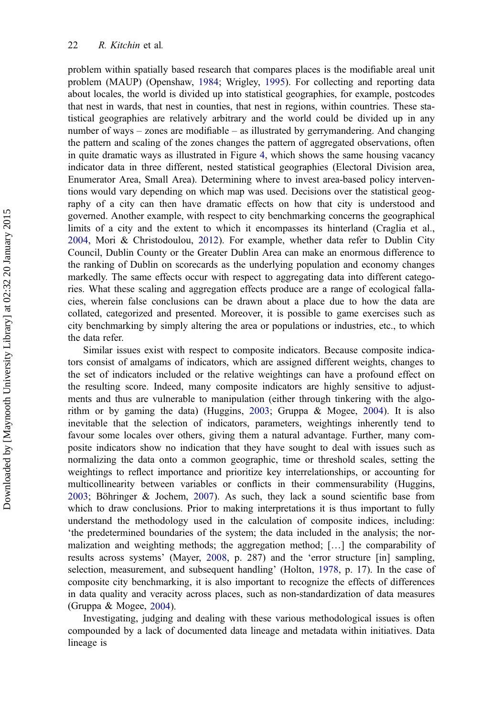problem within spatially based research that compares places is the modifiable areal unit problem (MAUP) (Openshaw, [1984;](#page-23-0) Wrigley, [1995\)](#page-24-0). For collecting and reporting data about locales, the world is divided up into statistical geographies, for example, postcodes that nest in wards, that nest in counties, that nest in regions, within countries. These statistical geographies are relatively arbitrary and the world could be divided up in any number of ways – zones are modifiable – as illustrated by gerrymandering. And changing the pattern and scaling of the zones changes the pattern of aggregated observations, often in quite dramatic ways as illustrated in Figure [4,](#page-17-0) which shows the same housing vacancy indicator data in three different, nested statistical geographies (Electoral Division area, Enumerator Area, Small Area). Determining where to invest area-based policy interventions would vary depending on which map was used. Decisions over the statistical geography of a city can then have dramatic effects on how that city is understood and governed. Another example, with respect to city benchmarking concerns the geographical limits of a city and the extent to which it encompasses its hinterland (Craglia et al., [2004,](#page-22-0) Mori & Christodoulou, [2012\)](#page-23-0). For example, whether data refer to Dublin City Council, Dublin County or the Greater Dublin Area can make an enormous difference to the ranking of Dublin on scorecards as the underlying population and economy changes markedly. The same effects occur with respect to aggregating data into different categories. What these scaling and aggregation effects produce are a range of ecological fallacies, wherein false conclusions can be drawn about a place due to how the data are collated, categorized and presented. Moreover, it is possible to game exercises such as city benchmarking by simply altering the area or populations or industries, etc., to which the data refer.

Similar issues exist with respect to composite indicators. Because composite indicators consist of amalgams of indicators, which are assigned different weights, changes to the set of indicators included or the relative weightings can have a profound effect on the resulting score. Indeed, many composite indicators are highly sensitive to adjustments and thus are vulnerable to manipulation (either through tinkering with the algorithm or by gaming the data) (Huggins, [2003;](#page-22-0) Gruppa & Mogee, [2004](#page-22-0)). It is also inevitable that the selection of indicators, parameters, weightings inherently tend to favour some locales over others, giving them a natural advantage. Further, many composite indicators show no indication that they have sought to deal with issues such as normalizing the data onto a common geographic, time or threshold scales, setting the weightings to reflect importance and prioritize key interrelationships, or accounting for multicollinearity between variables or conflicts in their commensurability (Huggins, [2003;](#page-22-0) Böhringer & Jochem, [2007\)](#page-21-0). As such, they lack a sound scientific base from which to draw conclusions. Prior to making interpretations it is thus important to fully understand the methodology used in the calculation of composite indices, including: 'the predetermined boundaries of the system; the data included in the analysis; the normalization and weighting methods; the aggregation method; […] the comparability of results across systems' (Mayer, [2008,](#page-23-0) p. 287) and the 'error structure [in] sampling, selection, measurement, and subsequent handling' (Holton, [1978](#page-22-0), p. 17). In the case of composite city benchmarking, it is also important to recognize the effects of differences in data quality and veracity across places, such as non-standardization of data measures (Gruppa & Mogee, [2004](#page-22-0)).

Investigating, judging and dealing with these various methodological issues is often compounded by a lack of documented data lineage and metadata within initiatives. Data lineage is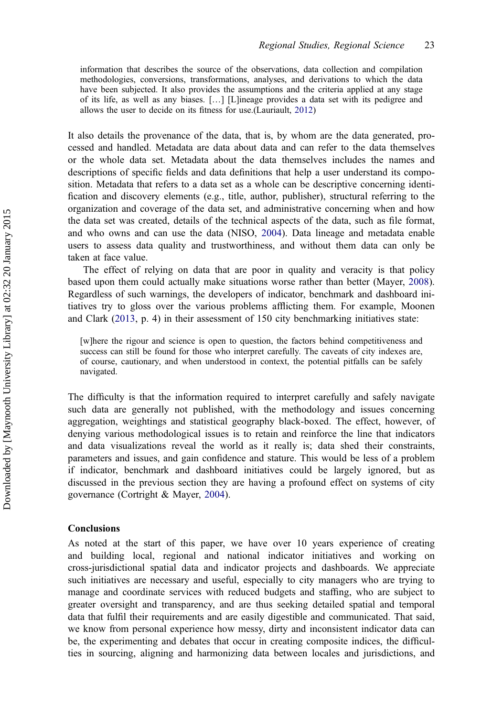information that describes the source of the observations, data collection and compilation methodologies, conversions, transformations, analyses, and derivations to which the data have been subjected. It also provides the assumptions and the criteria applied at any stage of its life, as well as any biases. […] [L]ineage provides a data set with its pedigree and allows the user to decide on its fitness for use.(Lauriault, [2012](#page-23-0))

It also details the provenance of the data, that is, by whom are the data generated, processed and handled. Metadata are data about data and can refer to the data themselves or the whole data set. Metadata about the data themselves includes the names and descriptions of specific fields and data definitions that help a user understand its composition. Metadata that refers to a data set as a whole can be descriptive concerning identification and discovery elements (e.g., title, author, publisher), structural referring to the organization and coverage of the data set, and administrative concerning when and how the data set was created, details of the technical aspects of the data, such as file format, and who owns and can use the data (NISO, [2004](#page-23-0)). Data lineage and metadata enable users to assess data quality and trustworthiness, and without them data can only be taken at face value.

The effect of relying on data that are poor in quality and veracity is that policy based upon them could actually make situations worse rather than better (Mayer, [2008\)](#page-23-0). Regardless of such warnings, the developers of indicator, benchmark and dashboard initiatives try to gloss over the various problems afflicting them. For example, Moonen and Clark ([2013,](#page-23-0) p. 4) in their assessment of 150 city benchmarking initiatives state:

[w]here the rigour and science is open to question, the factors behind competitiveness and success can still be found for those who interpret carefully. The caveats of city indexes are, of course, cautionary, and when understood in context, the potential pitfalls can be safely navigated.

The difficulty is that the information required to interpret carefully and safely navigate such data are generally not published, with the methodology and issues concerning aggregation, weightings and statistical geography black-boxed. The effect, however, of denying various methodological issues is to retain and reinforce the line that indicators and data visualizations reveal the world as it really is; data shed their constraints, parameters and issues, and gain confidence and stature. This would be less of a problem if indicator, benchmark and dashboard initiatives could be largely ignored, but as discussed in the previous section they are having a profound effect on systems of city governance (Cortright & Mayer, [2004\)](#page-21-0).

## Conclusions

As noted at the start of this paper, we have over 10 years experience of creating and building local, regional and national indicator initiatives and working cross-jurisdictional spatial data and indicator projects and dashboards. We appreciate such initiatives are necessary and useful, especially to city managers who are trying to manage and coordinate services with reduced budgets and staffing, who are subject to greater oversight and transparency, and are thus seeking detailed spatial and temporal data that fulfil their requirements and are easily digestible and communicated. That said, we know from personal experience how messy, dirty and inconsistent indicator data can be, the experimenting and debates that occur in creating composite indices, the difficulties in sourcing, aligning and harmonizing data between locales and jurisdictions, and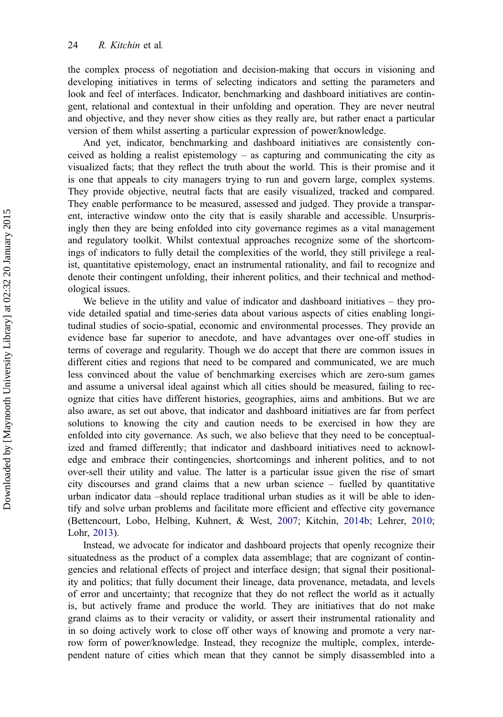the complex process of negotiation and decision-making that occurs in visioning and developing initiatives in terms of selecting indicators and setting the parameters and look and feel of interfaces. Indicator, benchmarking and dashboard initiatives are contingent, relational and contextual in their unfolding and operation. They are never neutral and objective, and they never show cities as they really are, but rather enact a particular version of them whilst asserting a particular expression of power/knowledge.

And yet, indicator, benchmarking and dashboard initiatives are consistently conceived as holding a realist epistemology – as capturing and communicating the city as visualized facts; that they reflect the truth about the world. This is their promise and it is one that appeals to city managers trying to run and govern large, complex systems. They provide objective, neutral facts that are easily visualized, tracked and compared. They enable performance to be measured, assessed and judged. They provide a transparent, interactive window onto the city that is easily sharable and accessible. Unsurprisingly then they are being enfolded into city governance regimes as a vital management and regulatory toolkit. Whilst contextual approaches recognize some of the shortcomings of indicators to fully detail the complexities of the world, they still privilege a realist, quantitative epistemology, enact an instrumental rationality, and fail to recognize and denote their contingent unfolding, their inherent politics, and their technical and methodological issues.

We believe in the utility and value of indicator and dashboard initiatives – they provide detailed spatial and time-series data about various aspects of cities enabling longitudinal studies of socio-spatial, economic and environmental processes. They provide an evidence base far superior to anecdote, and have advantages over one-off studies in terms of coverage and regularity. Though we do accept that there are common issues in different cities and regions that need to be compared and communicated, we are much less convinced about the value of benchmarking exercises which are zero-sum games and assume a universal ideal against which all cities should be measured, failing to recognize that cities have different histories, geographies, aims and ambitions. But we are also aware, as set out above, that indicator and dashboard initiatives are far from perfect solutions to knowing the city and caution needs to be exercised in how they are enfolded into city governance. As such, we also believe that they need to be conceptualized and framed differently; that indicator and dashboard initiatives need to acknowledge and embrace their contingencies, shortcomings and inherent politics, and to not over-sell their utility and value. The latter is a particular issue given the rise of smart city discourses and grand claims that a new urban science – fuelled by quantitative urban indicator data –should replace traditional urban studies as it will be able to identify and solve urban problems and facilitate more efficient and effective city governance (Bettencourt, Lobo, Helbing, Kuhnert, & West, [2007](#page-21-0); Kitchin, [2014b](#page-23-0); Lehrer, [2010;](#page-23-0) Lohr, [2013](#page-23-0)).

Instead, we advocate for indicator and dashboard projects that openly recognize their situatedness as the product of a complex data assemblage; that are cognizant of contingencies and relational effects of project and interface design; that signal their positionality and politics; that fully document their lineage, data provenance, metadata, and levels of error and uncertainty; that recognize that they do not reflect the world as it actually is, but actively frame and produce the world. They are initiatives that do not make grand claims as to their veracity or validity, or assert their instrumental rationality and in so doing actively work to close off other ways of knowing and promote a very narrow form of power/knowledge. Instead, they recognize the multiple, complex, interdependent nature of cities which mean that they cannot be simply disassembled into a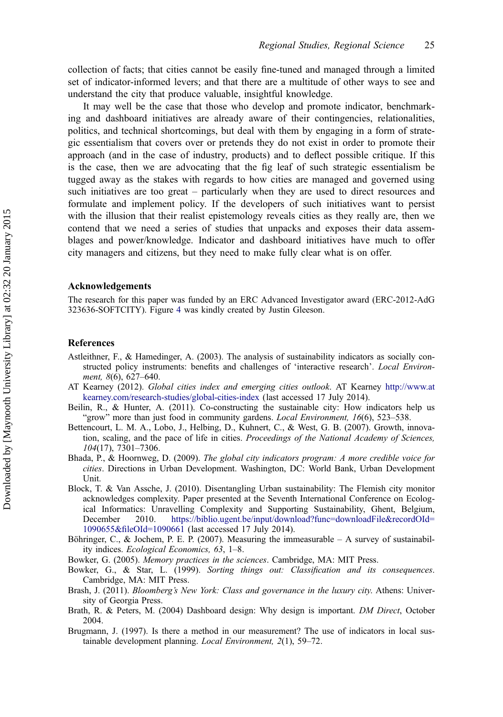<span id="page-21-0"></span>collection of facts; that cities cannot be easily fine-tuned and managed through a limited set of indicator-informed levers; and that there are a multitude of other ways to see and understand the city that produce valuable, insightful knowledge.

It may well be the case that those who develop and promote indicator, benchmarking and dashboard initiatives are already aware of their contingencies, relationalities, politics, and technical shortcomings, but deal with them by engaging in a form of strategic essentialism that covers over or pretends they do not exist in order to promote their approach (and in the case of industry, products) and to deflect possible critique. If this is the case, then we are advocating that the fig leaf of such strategic essentialism be tugged away as the stakes with regards to how cities are managed and governed using such initiatives are too great – particularly when they are used to direct resources and formulate and implement policy. If the developers of such initiatives want to persist with the illusion that their realist epistemology reveals cities as they really are, then we contend that we need a series of studies that unpacks and exposes their data assemblages and power/knowledge. Indicator and dashboard initiatives have much to offer city managers and citizens, but they need to make fully clear what is on offer.

### Acknowledgements

The research for this paper was funded by an ERC Advanced Investigator award (ERC-2012-AdG 323636-SOFTCITY). Figure [4](#page-17-0) was kindly created by Justin Gleeson.

# References

- Astleithner, F., & Hamedinger, A. (2003). The analysis of sustainability indicators as socially constructed policy instruments: benefits and challenges of 'interactive research'. Local Environment, 8(6), 627–640.
- AT Kearney (2012). Global cities index and emerging cities outlook. AT Kearney [http://www.at](http://www.atkearney.com/research-studies/global-cities-index) [kearney.com/research-studies/global-cities-index](http://www.atkearney.com/research-studies/global-cities-index) (last accessed 17 July 2014).
- Beilin, R., & Hunter, A. (2011). Co-constructing the sustainable city: How indicators help us "grow" more than just food in community gardens. Local Environment, 16(6), 523–538.
- Bettencourt, L. M. A., Lobo, J., Helbing, D., Kuhnert, C., & West, G. B. (2007). Growth, innovation, scaling, and the pace of life in cities. Proceedings of the National Academy of Sciences, 104(17), 7301–7306.
- Bhada, P., & Hoornweg, D. (2009). The global city indicators program: A more credible voice for cities. Directions in Urban Development. Washington, DC: World Bank, Urban Development Unit.
- Block, T. & Van Assche, J. (2010). Disentangling Urban sustainability: The Flemish city monitor acknowledges complexity. Paper presented at the Seventh International Conference on Ecological Informatics: Unravelling Complexity and Supporting Sustainability, Ghent, Belgium, December 2010. [https://biblio.ugent.be/input/download?func=downloadFile&recordOId=](https://biblio.ugent.be/input/download?func=downloadFile&recordOId=1090655&fileOId=1090661) 1090655&fi[leOId=1090661](https://biblio.ugent.be/input/download?func=downloadFile&recordOId=1090655&fileOId=1090661) (last accessed 17 July 2014).
- Böhringer, C., & Jochem, P. E. P. (2007). Measuring the immeasurable  $A$  survey of sustainability indices. Ecological Economics, 63, 1–8.
- Bowker, G. (2005). Memory practices in the sciences. Cambridge, MA: MIT Press.
- Bowker, G., & Star, L. (1999). Sorting things out: Classification and its consequences. Cambridge, MA: MIT Press.
- Brash, J. (2011). Bloomberg's New York: Class and governance in the luxury city. Athens: University of Georgia Press.
- Brath, R. & Peters, M. (2004) Dashboard design: Why design is important. DM Direct, October 2004.
- Brugmann, J. (1997). Is there a method in our measurement? The use of indicators in local sustainable development planning. Local Environment, 2(1), 59–72.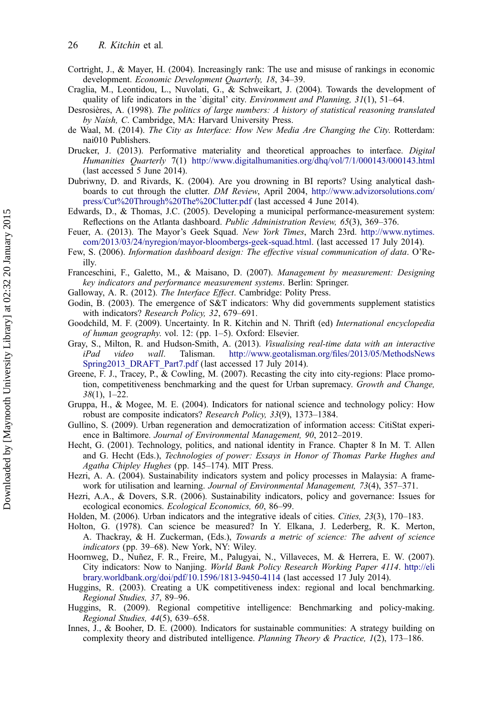- <span id="page-22-0"></span>Cortright, J., & Mayer, H. (2004). Increasingly rank: The use and misuse of rankings in economic development. Economic Development Quarterly, 18, 34–39.
- Craglia, M., Leontidou, L., Nuvolati, G., & Schweikart, J. (2004). Towards the development of quality of life indicators in the `digital' city. *Environment and Planning*, 31(1), 51–64.
- Desrosières, A. (1998). The politics of large numbers: A history of statistical reasoning translated by Naish, C. Cambridge, MA: Harvard University Press.
- de Waal, M. (2014). The City as Interface: How New Media Are Changing the City. Rotterdam: nai010 Publishers.
- Drucker, J. (2013). Performative materiality and theoretical approaches to interface. Digital Humanities Quarterly 7(1) <http://www.digitalhumanities.org/dhq/vol/7/1/000143/000143.html> (last accessed 5 June 2014).
- Dubriwny, D. and Rivards, K. (2004). Are you drowning in BI reports? Using analytical dashboards to cut through the clutter. DM Review, April 2004, [http://www.advizorsolutions.com/](http://www.advizorsolutions.com/press/Cut%20Through%20The%20Clutter.pdf) [press/Cut%20Through%20The%20Clutter.pdf](http://www.advizorsolutions.com/press/Cut%20Through%20The%20Clutter.pdf) (last accessed 4 June 2014).
- Edwards, D., & Thomas, J.C. (2005). Developing a municipal performance-measurement system: Reflections on the Atlanta dashboard. Public Administration Review, 65(3), 369–376.
- Feuer, A. (2013). The Mayor's Geek Squad. New York Times, March 23rd. [http://www.nytimes.](http://www.nytimes.com/2013/03/24/nyregion/mayor-bloombergs-geek-squad.html) [com/2013/03/24/nyregion/mayor-bloombergs-geek-squad.html.](http://www.nytimes.com/2013/03/24/nyregion/mayor-bloombergs-geek-squad.html) (last accessed 17 July 2014).
- Few, S. (2006). Information dashboard design: The effective visual communication of data. O'Reilly.
- Franceschini, F., Galetto, M., & Maisano, D. (2007). Management by measurement: Designing key indicators and performance measurement systems. Berlin: Springer.
- Galloway, A. R. (2012). The Interface Effect. Cambridge: Polity Press.
- Godin, B. (2003). The emergence of S&T indicators: Why did governments supplement statistics with indicators? Research Policy, 32, 679–691.
- Goodchild, M. F. (2009). Uncertainty. In R. Kitchin and N. Thrift (ed) International encyclopedia of human geography. vol. 12: (pp. 1–5). Oxford: Elsevier.
- Gray, S., Milton, R. and Hudson-Smith, A. (2013). Visualising real-time data with an interactive iPad video wall. Talisman. [http://www.geotalisman.org/](http://www.geotalisman.org/files/2013/05/MethodsNewsSpring2013_DRAFT_Part7.pdf)files/2013/05/MethodsNews [Spring2013\\_DRAFT\\_Part7.pdf](http://www.geotalisman.org/files/2013/05/MethodsNewsSpring2013_DRAFT_Part7.pdf) (last accessed 17 July 2014).
- Greene, F. J., Tracey, P., & Cowling, M. (2007). Recasting the city into city-regions: Place promotion, competitiveness benchmarking and the quest for Urban supremacy. Growth and Change, 38(1), 1–22.
- Gruppa, H., & Mogee, M. E. (2004). Indicators for national science and technology policy: How robust are composite indicators? Research Policy, 33(9), 1373–1384.
- Gullino, S. (2009). Urban regeneration and democratization of information access: CitiStat experience in Baltimore. Journal of Environmental Management, 90, 2012–2019.
- Hecht, G. (2001). Technology, politics, and national identity in France. Chapter 8 In M. T. Allen and G. Hecht (Eds.), Technologies of power: Essays in Honor of Thomas Parke Hughes and Agatha Chipley Hughes (pp. 145–174). MIT Press.
- Hezri, A. A. (2004). Sustainability indicators system and policy processes in Malaysia: A framework for utilisation and learning. Journal of Environmental Management, 73(4), 357–371.
- Hezri, A.A., & Dovers, S.R. (2006). Sustainability indicators, policy and governance: Issues for ecological economics. Ecological Economics, 60, 86–99.
- Holden, M. (2006). Urban indicators and the integrative ideals of cities. Cities, 23(3), 170–183.
- Holton, G. (1978). Can science be measured? In Y. Elkana, J. Lederberg, R. K. Merton, A. Thackray, & H. Zuckerman, (Eds.), Towards a metric of science: The advent of science indicators (pp. 39–68). New York, NY: Wiley.
- Hoornweg, D., Nuñez, F. R., Freire, M., Palugyai, N., Villaveces, M. & Herrera, E. W. (2007). City indicators: Now to Nanjing. World Bank Policy Research Working Paper 4114. [http://eli](http://elibrary.worldbank.org/doi/pdf/10.1596/1813-9450-4114) [brary.worldbank.org/doi/pdf/10.1596/1813-9450-4114](http://elibrary.worldbank.org/doi/pdf/10.1596/1813-9450-4114) (last accessed 17 July 2014).
- Huggins, R. (2003). Creating a UK competitiveness index: regional and local benchmarking. Regional Studies, 37, 89–96.
- Huggins, R. (2009). Regional competitive intelligence: Benchmarking and policy-making. Regional Studies, 44(5), 639–658.
- Innes, J., & Booher, D. E. (2000). Indicators for sustainable communities: A strategy building on complexity theory and distributed intelligence. Planning Theory & Practice, 1(2), 173–186.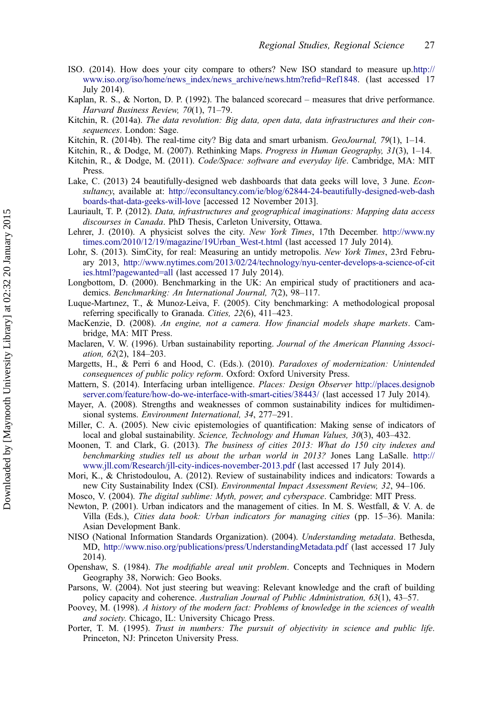- <span id="page-23-0"></span>ISO. (2014). How does your city compare to others? New ISO standard to measure up.[http://](http://www.iso.org/iso/home/news_index/news_archive/news.htm?refid=Ref1848) [www.iso.org/iso/home/news\\_index/news\\_archive/news.htm?re](http://www.iso.org/iso/home/news_index/news_archive/news.htm?refid=Ref1848)fid=Ref1848. (last accessed 17 July 2014).
- Kaplan, R. S., & Norton, D. P. (1992). The balanced scorecard measures that drive performance. Harvard Business Review, 70(1), 71–79.
- Kitchin, R. (2014a). The data revolution: Big data, open data, data infrastructures and their consequences. London: Sage.
- Kitchin, R. (2014b). The real-time city? Big data and smart urbanism. GeoJournal, 79(1), 1–14.
- Kitchin, R., & Dodge, M. (2007). Rethinking Maps. Progress in Human Geography, 31(3), 1–14.
- Kitchin, R., & Dodge, M. (2011). Code/Space: software and everyday life. Cambridge, MA: MIT Press.
- Lake, C. (2013) 24 beautifully-designed web dashboards that data geeks will love, 3 June. Econsultancy, available at: [http://econsultancy.com/ie/blog/62844-24-beautifully-designed-web-dash](http://econsultancy.com/ie/blog/62844-24-beautifully-designed-web-dashboards-that-data-geeks-will-love) [boards-that-data-geeks-will-love](http://econsultancy.com/ie/blog/62844-24-beautifully-designed-web-dashboards-that-data-geeks-will-love) [accessed 12 November 2013].
- Lauriault, T. P. (2012). Data, infrastructures and geographical imaginations: Mapping data access discourses in Canada. PhD Thesis, Carleton University, Ottawa.
- Lehrer, J. (2010). A physicist solves the city. New York Times, 17th December. [http://www.ny](http://www.nytimes.com/2010/12/19/magazine/19Urban_West-t.html) [times.com/2010/12/19/magazine/19Urban\\_West-t.html](http://www.nytimes.com/2010/12/19/magazine/19Urban_West-t.html) (last accessed 17 July 2014).
- Lohr, S. (2013). SimCity, for real: Measuring an untidy metropolis. New York Times, 23rd February 2013, [http://www.nytimes.com/2013/02/24/technology/nyu-center-develops-a-science-of-cit](http://www.nytimes.com/2013/02/24/technology/nyu-center-develops-a-science-of-cities.html?pagewanted=all) [ies.html?pagewanted=all](http://www.nytimes.com/2013/02/24/technology/nyu-center-develops-a-science-of-cities.html?pagewanted=all) (last accessed 17 July 2014).
- Longbottom, D. (2000). Benchmarking in the UK: An empirical study of practitioners and academics. Benchmarking: An International Journal, 7(2), 98–117.
- Luque-Martınez, T., & Munoz-Leiva, F. (2005). City benchmarking: A methodological proposal referring specifically to Granada. Cities, 22(6), 411–423.
- MacKenzie, D. (2008). An engine, not a camera. How financial models shape markets. Cambridge, MA: MIT Press.
- Maclaren, V. W. (1996). Urban sustainability reporting. Journal of the American Planning Association, 62(2), 184–203.
- Margetts, H., & Perri 6 and Hood, C. (Eds.). (2010). Paradoxes of modernization: Unintended consequences of public policy reform. Oxford: Oxford University Press.
- Mattern, S. (2014). Interfacing urban intelligence. Places: Design Observer [http://places.designob](http://places.designobserver.com/feature/how-do-we-interface-with-smart-cities/38443/) [server.com/feature/how-do-we-interface-with-smart-cities/38443/](http://places.designobserver.com/feature/how-do-we-interface-with-smart-cities/38443/) (last accessed 17 July 2014).
- Mayer, A. (2008). Strengths and weaknesses of common sustainability indices for multidimensional systems. Environment International, 34, 277–291.
- Miller, C. A. (2005). New civic epistemologies of quantification: Making sense of indicators of local and global sustainability. Science, Technology and Human Values, 30(3), 403-432.
- Moonen, T. and Clark, G. (2013). The business of cities 2013: What do 150 city indexes and benchmarking studies tell us about the urban world in 2013? Jones Lang LaSalle. [http://](http://www.jll.com/Research/jll-city-indices-november-2013.pdf) [www.jll.com/Research/jll-city-indices-november-2013.pdf](http://www.jll.com/Research/jll-city-indices-november-2013.pdf) (last accessed 17 July 2014).
- Mori, K., & Christodoulou, A. (2012). Review of sustainability indices and indicators: Towards a new City Sustainability Index (CSI). Environmental Impact Assessment Review, 32, 94–106.
- Mosco, V. (2004). The digital sublime: Myth, power, and cyberspace. Cambridge: MIT Press.
- Newton, P. (2001). Urban indicators and the management of cities. In M. S. Westfall, & V. A. de Villa (Eds.), Cities data book: Urban indicators for managing cities (pp. 15–36). Manila: Asian Development Bank.
- NISO (National Information Standards Organization). (2004). Understanding metadata. Bethesda, MD, <http://www.niso.org/publications/press/UnderstandingMetadata.pdf> (last accessed 17 July 2014).
- Openshaw, S. (1984). The modifiable areal unit problem. Concepts and Techniques in Modern Geography 38, Norwich: Geo Books.
- Parsons, W. (2004). Not just steering but weaving: Relevant knowledge and the craft of building policy capacity and coherence. Australian Journal of Public Administration, 63(1), 43–57.
- Poovey, M. (1998). A history of the modern fact: Problems of knowledge in the sciences of wealth and society. Chicago, IL: University Chicago Press.
- Porter, T. M. (1995). Trust in numbers: The pursuit of objectivity in science and public life. Princeton, NJ: Princeton University Press.